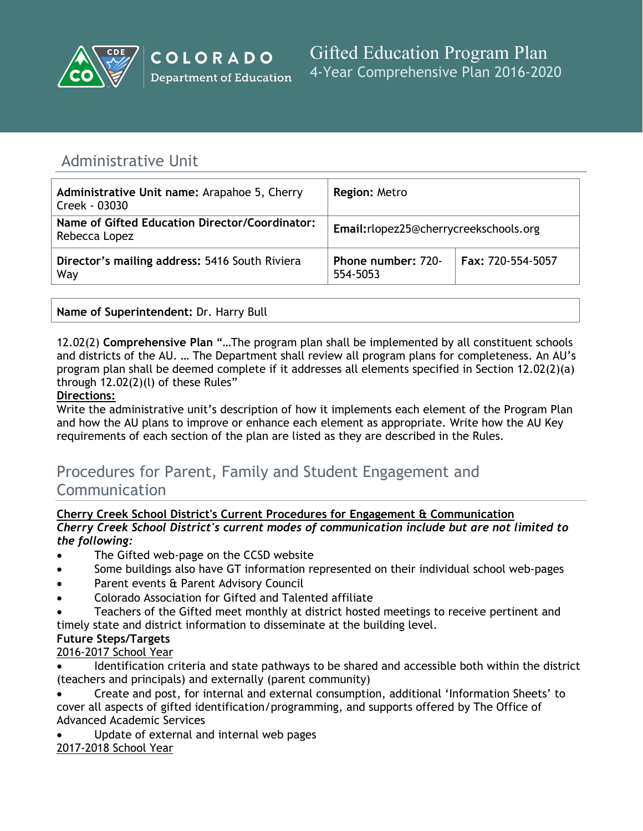

# Administrative Unit

| Administrative Unit name: Arapahoe 5, Cherry<br>Creek - 03030   | <b>Region: Metro</b>                  |                   |
|-----------------------------------------------------------------|---------------------------------------|-------------------|
| Name of Gifted Education Director/Coordinator:<br>Rebecca Lopez | Email:rlopez25@cherrycreekschools.org |                   |
| Director's mailing address: 5416 South Riviera<br>Way           | Phone number: 720-<br>554-5053        | Fax: 720-554-5057 |

**Name of Superintendent:** Dr. Harry Bull

12.02(2) **Comprehensive Plan** "…The program plan shall be implemented by all constituent schools and districts of the AU. … The Department shall review all program plans for completeness. An AU's program plan shall be deemed complete if it addresses all elements specified in Section 12.02(2)(a) through 12.02(2)(l) of these Rules"

# **Directions:**

Write the administrative unit's description of how it implements each element of the Program Plan and how the AU plans to improve or enhance each element as appropriate. Write how the AU Key requirements of each section of the plan are listed as they are described in the Rules.

# Procedures for Parent, Family and Student Engagement and Communication

# **Cherry Creek School District's Current Procedures for Engagement & Communication** *Cherry Creek School District's current modes of communication include but are not limited to*

- *the following:*
- The Gifted web-page on the CCSD website
- Some buildings also have GT information represented on their individual school web-pages
- Parent events & Parent Advisory Council
- Colorado Association for Gifted and Talented affiliate
- Teachers of the Gifted meet monthly at district hosted meetings to receive pertinent and timely state and district information to disseminate at the building level.

# **Future Steps/Targets**

2016-2017 School Year

- Identification criteria and state pathways to be shared and accessible both within the district (teachers and principals) and externally (parent community)
- Create and post, for internal and external consumption, additional 'Information Sheets' to cover all aspects of gifted identification/programming, and supports offered by The Office of Advanced Academic Services
- Update of external and internal web pages 2017-2018 School Year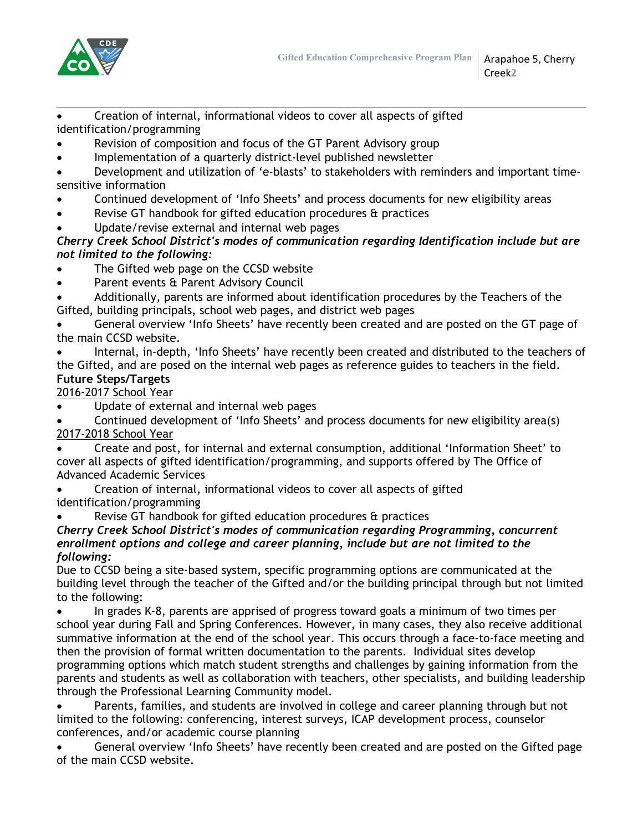

 Creation of internal, informational videos to cover all aspects of gifted identification/programming

- Revision of composition and focus of the GT Parent Advisory group
- Implementation of a quarterly district-level published newsletter

 Development and utilization of 'e-blasts' to stakeholders with reminders and important timesensitive information

- Continued development of 'Info Sheets' and process documents for new eligibility areas
- Revise GT handbook for gifted education procedures & practices
- Update/revise external and internal web pages

# *Cherry Creek School District's modes of communication regarding Identification include but are not limited to the following:*

- The Gifted web page on the CCSD website
- Parent events & Parent Advisory Council
- Additionally, parents are informed about identification procedures by the Teachers of the Gifted, building principals, school web pages, and district web pages

 General overview 'Info Sheets' have recently been created and are posted on the GT page of the main CCSD website.

 Internal, in-depth, 'Info Sheets' have recently been created and distributed to the teachers of the Gifted, and are posed on the internal web pages as reference guides to teachers in the field. **Future Steps/Targets**

# 2016-2017 School Year

- Update of external and internal web pages
- Continued development of 'Info Sheets' and process documents for new eligibility area(s) 2017-2018 School Year
- Create and post, for internal and external consumption, additional 'Information Sheet' to cover all aspects of gifted identification/programming, and supports offered by The Office of Advanced Academic Services

 Creation of internal, informational videos to cover all aspects of gifted identification/programming

Revise GT handbook for gifted education procedures & practices

## *Cherry Creek School District's modes of communication regarding Programming, concurrent enrollment options and college and career planning, include but are not limited to the following:*

Due to CCSD being a site-based system, specific programming options are communicated at the building level through the teacher of the Gifted and/or the building principal through but not limited to the following:

 In grades K-8, parents are apprised of progress toward goals a minimum of two times per school year during Fall and Spring Conferences. However, in many cases, they also receive additional summative information at the end of the school year. This occurs through a face-to-face meeting and then the provision of formal written documentation to the parents. Individual sites develop programming options which match student strengths and challenges by gaining information from the parents and students as well as collaboration with teachers, other specialists, and building leadership through the Professional Learning Community model.

 Parents, families, and students are involved in college and career planning through but not limited to the following: conferencing, interest surveys, ICAP development process, counselor conferences, and/or academic course planning

 General overview 'Info Sheets' have recently been created and are posted on the Gifted page of the main CCSD website.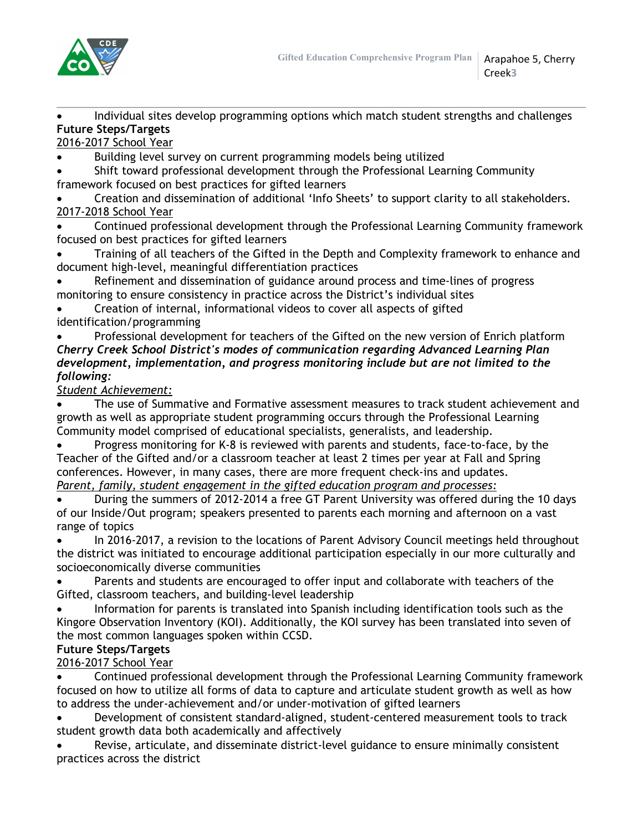

 Individual sites develop programming options which match student strengths and challenges **Future Steps/Targets**

2016-2017 School Year

Building level survey on current programming models being utilized

 Shift toward professional development through the Professional Learning Community framework focused on best practices for gifted learners

 Creation and dissemination of additional 'Info Sheets' to support clarity to all stakeholders. 2017-2018 School Year

 Continued professional development through the Professional Learning Community framework focused on best practices for gifted learners

 Training of all teachers of the Gifted in the Depth and Complexity framework to enhance and document high-level, meaningful differentiation practices

 Refinement and dissemination of guidance around process and time-lines of progress monitoring to ensure consistency in practice across the District's individual sites

 Creation of internal, informational videos to cover all aspects of gifted identification/programming

 Professional development for teachers of the Gifted on the new version of Enrich platform *Cherry Creek School District's modes of communication regarding Advanced Learning Plan development, implementation, and progress monitoring include but are not limited to the following:*

*Student Achievement:*

 The use of Summative and Formative assessment measures to track student achievement and growth as well as appropriate student programming occurs through the Professional Learning Community model comprised of educational specialists, generalists, and leadership.

 Progress monitoring for K-8 is reviewed with parents and students, face-to-face, by the Teacher of the Gifted and/or a classroom teacher at least 2 times per year at Fall and Spring conferences. However, in many cases, there are more frequent check-ins and updates. *Parent, family, student engagement in the gifted education program and processes:*

 During the summers of 2012-2014 a free GT Parent University was offered during the 10 days of our Inside/Out program; speakers presented to parents each morning and afternoon on a vast range of topics

 In 2016-2017, a revision to the locations of Parent Advisory Council meetings held throughout the district was initiated to encourage additional participation especially in our more culturally and socioeconomically diverse communities

 Parents and students are encouraged to offer input and collaborate with teachers of the Gifted, classroom teachers, and building-level leadership

 Information for parents is translated into Spanish including identification tools such as the Kingore Observation Inventory (KOI). Additionally, the KOI survey has been translated into seven of the most common languages spoken within CCSD.

# **Future Steps/Targets**

2016-2017 School Year

 Continued professional development through the Professional Learning Community framework focused on how to utilize all forms of data to capture and articulate student growth as well as how to address the under-achievement and/or under-motivation of gifted learners

 Development of consistent standard-aligned, student-centered measurement tools to track student growth data both academically and affectively

 Revise, articulate, and disseminate district-level guidance to ensure minimally consistent practices across the district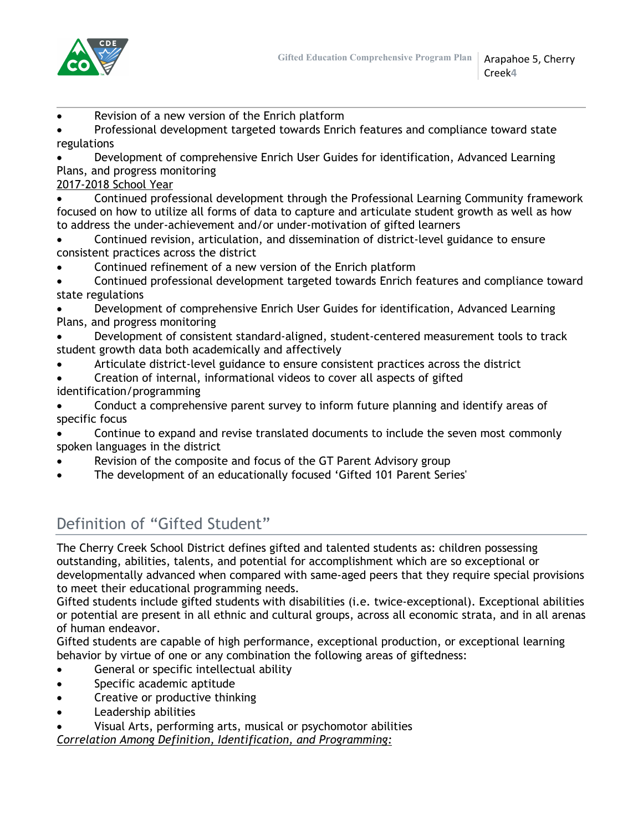

- Revision of a new version of the Enrich platform
- Professional development targeted towards Enrich features and compliance toward state regulations
- Development of comprehensive Enrich User Guides for identification, Advanced Learning Plans, and progress monitoring
- 2017-2018 School Year
- Continued professional development through the Professional Learning Community framework focused on how to utilize all forms of data to capture and articulate student growth as well as how to address the under-achievement and/or under-motivation of gifted learners
- Continued revision, articulation, and dissemination of district-level guidance to ensure consistent practices across the district
- Continued refinement of a new version of the Enrich platform
- Continued professional development targeted towards Enrich features and compliance toward state regulations
- Development of comprehensive Enrich User Guides for identification, Advanced Learning Plans, and progress monitoring
- Development of consistent standard-aligned, student-centered measurement tools to track student growth data both academically and affectively
- Articulate district-level guidance to ensure consistent practices across the district
- Creation of internal, informational videos to cover all aspects of gifted identification/programming
- Conduct a comprehensive parent survey to inform future planning and identify areas of specific focus
- Continue to expand and revise translated documents to include the seven most commonly spoken languages in the district
- Revision of the composite and focus of the GT Parent Advisory group
- The development of an educationally focused 'Gifted 101 Parent Series'

# Definition of "Gifted Student"

The Cherry Creek School District defines gifted and talented students as: children possessing outstanding, abilities, talents, and potential for accomplishment which are so exceptional or developmentally advanced when compared with same-aged peers that they require special provisions to meet their educational programming needs.

Gifted students include gifted students with disabilities (i.e. twice-exceptional). Exceptional abilities or potential are present in all ethnic and cultural groups, across all economic strata, and in all arenas of human endeavor.

Gifted students are capable of high performance, exceptional production, or exceptional learning behavior by virtue of one or any combination the following areas of giftedness:

- General or specific intellectual ability
- Specific academic aptitude
- Creative or productive thinking
- Leadership abilities
- Visual Arts, performing arts, musical or psychomotor abilities

*Correlation Among Definition, Identification, and Programming:*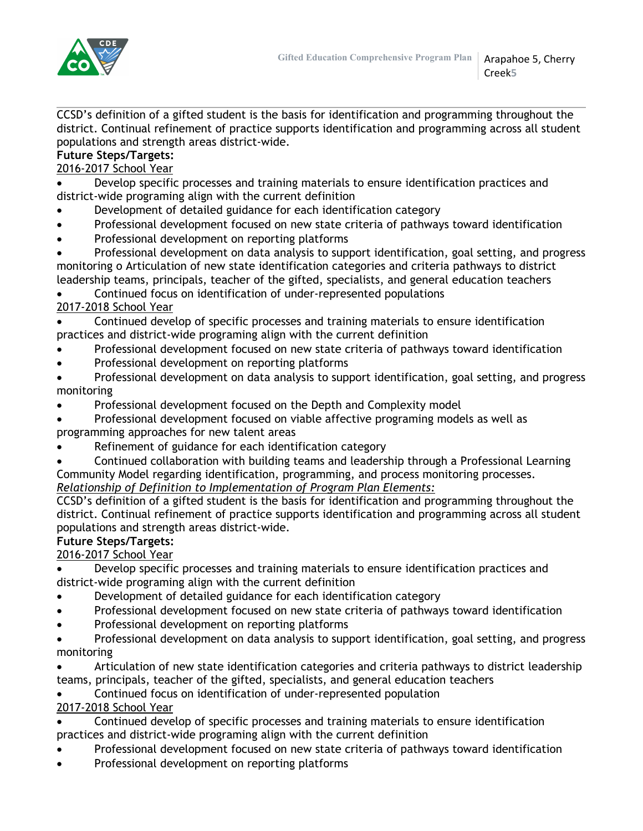

CCSD's definition of a gifted student is the basis for identification and programming throughout the district. Continual refinement of practice supports identification and programming across all student populations and strength areas district-wide.

# **Future Steps/Targets:**

# 2016-2017 School Year

 Develop specific processes and training materials to ensure identification practices and district-wide programing align with the current definition

- Development of detailed guidance for each identification category
- Professional development focused on new state criteria of pathways toward identification
- Professional development on reporting platforms
- Professional development on data analysis to support identification, goal setting, and progress monitoring o Articulation of new state identification categories and criteria pathways to district leadership teams, principals, teacher of the gifted, specialists, and general education teachers

Continued focus on identification of under-represented populations

# 2017-2018 School Year

- Continued develop of specific processes and training materials to ensure identification practices and district-wide programing align with the current definition
- Professional development focused on new state criteria of pathways toward identification
- Professional development on reporting platforms
- Professional development on data analysis to support identification, goal setting, and progress monitoring
- Professional development focused on the Depth and Complexity model
- Professional development focused on viable affective programing models as well as programming approaches for new talent areas
- Refinement of guidance for each identification category
- Continued collaboration with building teams and leadership through a Professional Learning Community Model regarding identification, programming, and process monitoring processes.

# *Relationship of Definition to Implementation of Program Plan Elements:*

CCSD's definition of a gifted student is the basis for identification and programming throughout the district. Continual refinement of practice supports identification and programming across all student populations and strength areas district-wide.

# **Future Steps/Targets:**

2016-2017 School Year

- Develop specific processes and training materials to ensure identification practices and district-wide programing align with the current definition
- Development of detailed guidance for each identification category
- Professional development focused on new state criteria of pathways toward identification
- Professional development on reporting platforms
- Professional development on data analysis to support identification, goal setting, and progress monitoring
- Articulation of new state identification categories and criteria pathways to district leadership teams, principals, teacher of the gifted, specialists, and general education teachers
- Continued focus on identification of under-represented population

# 2017-2018 School Year

- Continued develop of specific processes and training materials to ensure identification practices and district-wide programing align with the current definition
- Professional development focused on new state criteria of pathways toward identification
- Professional development on reporting platforms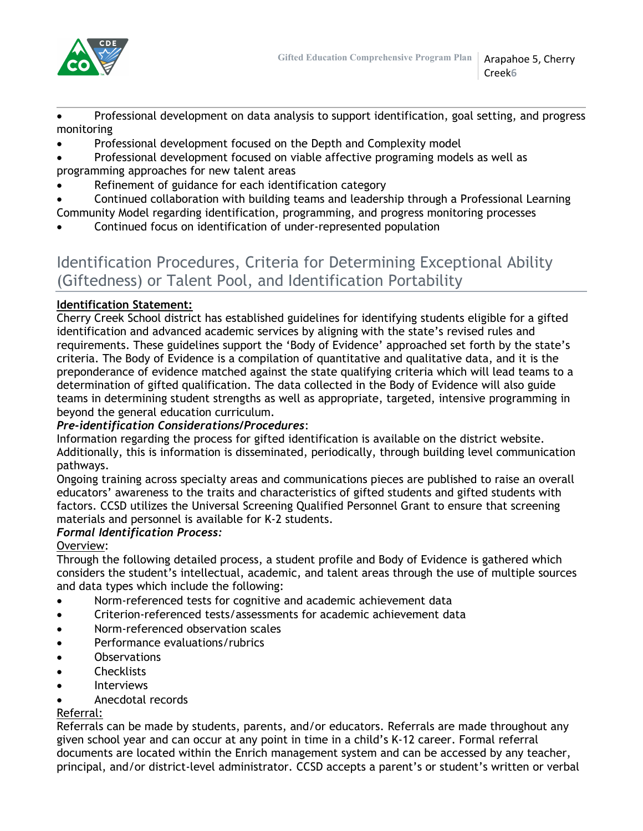

 Professional development on data analysis to support identification, goal setting, and progress monitoring

- Professional development focused on the Depth and Complexity model
- Professional development focused on viable affective programing models as well as programming approaches for new talent areas
- Refinement of guidance for each identification category
- Continued collaboration with building teams and leadership through a Professional Learning Community Model regarding identification, programming, and progress monitoring processes
- Continued focus on identification of under-represented population

# Identification Procedures, Criteria for Determining Exceptional Ability (Giftedness) or Talent Pool, and Identification Portability

# **Identification Statement:**

Cherry Creek School district has established guidelines for identifying students eligible for a gifted identification and advanced academic services by aligning with the state's revised rules and requirements. These guidelines support the 'Body of Evidence' approached set forth by the state's criteria. The Body of Evidence is a compilation of quantitative and qualitative data, and it is the preponderance of evidence matched against the state qualifying criteria which will lead teams to a determination of gifted qualification. The data collected in the Body of Evidence will also guide teams in determining student strengths as well as appropriate, targeted, intensive programming in beyond the general education curriculum.

## *Pre-identification Considerations/Procedures*:

Information regarding the process for gifted identification is available on the district website. Additionally, this is information is disseminated, periodically, through building level communication pathways.

Ongoing training across specialty areas and communications pieces are published to raise an overall educators' awareness to the traits and characteristics of gifted students and gifted students with factors. CCSD utilizes the Universal Screening Qualified Personnel Grant to ensure that screening materials and personnel is available for K-2 students.

## *Formal Identification Process:*

Overview:

Through the following detailed process, a student profile and Body of Evidence is gathered which considers the student's intellectual, academic, and talent areas through the use of multiple sources and data types which include the following:

- Norm-referenced tests for cognitive and academic achievement data
- Criterion-referenced tests/assessments for academic achievement data
- Norm-referenced observation scales
- Performance evaluations/rubrics
- **Observations**
- **Checklists**
- Interviews
- Anecdotal records

## Referral:

Referrals can be made by students, parents, and/or educators. Referrals are made throughout any given school year and can occur at any point in time in a child's K-12 career. Formal referral documents are located within the Enrich management system and can be accessed by any teacher, principal, and/or district-level administrator. CCSD accepts a parent's or student's written or verbal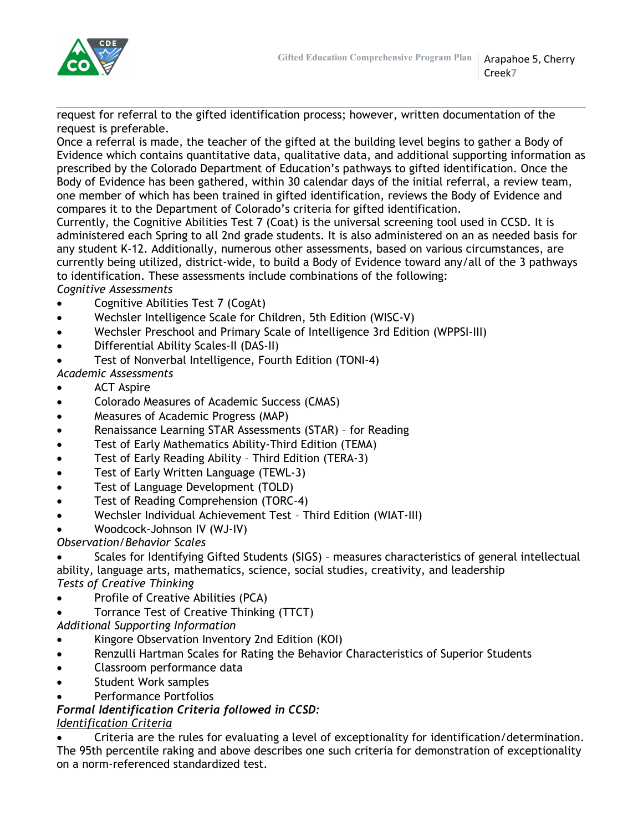

request for referral to the gifted identification process; however, written documentation of the request is preferable.

Once a referral is made, the teacher of the gifted at the building level begins to gather a Body of Evidence which contains quantitative data, qualitative data, and additional supporting information as prescribed by the Colorado Department of Education's pathways to gifted identification. Once the Body of Evidence has been gathered, within 30 calendar days of the initial referral, a review team, one member of which has been trained in gifted identification, reviews the Body of Evidence and compares it to the Department of Colorado's criteria for gifted identification.

Currently, the Cognitive Abilities Test 7 (Coat) is the universal screening tool used in CCSD. It is administered each Spring to all 2nd grade students. It is also administered on an as needed basis for any student K-12. Additionally, numerous other assessments, based on various circumstances, are currently being utilized, district-wide, to build a Body of Evidence toward any/all of the 3 pathways to identification. These assessments include combinations of the following:

*Cognitive Assessments*

- Cognitive Abilities Test 7 (CogAt)
- Wechsler Intelligence Scale for Children, 5th Edition (WISC-V)
- Wechsler Preschool and Primary Scale of Intelligence 3rd Edition (WPPSI-III)
- Differential Ability Scales-II (DAS-II)
- Test of Nonverbal Intelligence, Fourth Edition (TONI-4)

*Academic Assessments*

- ACT Aspire
- Colorado Measures of Academic Success (CMAS)
- Measures of Academic Progress (MAP)
- Renaissance Learning STAR Assessments (STAR) for Reading
- Test of Early Mathematics Ability-Third Edition (TEMA)
- Test of Early Reading Ability Third Edition (TERA-3)
- Test of Early Written Language (TEWL-3)
- Test of Language Development (TOLD)
- Test of Reading Comprehension (TORC-4)
- Wechsler Individual Achievement Test Third Edition (WIAT-III)
- Woodcock-Johnson IV (WJ-IV)

# *Observation/Behavior Scales*

 Scales for Identifying Gifted Students (SIGS) – measures characteristics of general intellectual ability, language arts, mathematics, science, social studies, creativity, and leadership *Tests of Creative Thinking*

- Profile of Creative Abilities (PCA)
- Torrance Test of Creative Thinking (TTCT)

*Additional Supporting Information*

- Kingore Observation Inventory 2nd Edition (KOI)
- Renzulli Hartman Scales for Rating the Behavior Characteristics of Superior Students
- Classroom performance data
- Student Work samples
- Performance Portfolios

# *Formal Identification Criteria followed in CCSD:*

# *Identification Criteria*

 Criteria are the rules for evaluating a level of exceptionality for identification/determination. The 95th percentile raking and above describes one such criteria for demonstration of exceptionality on a norm-referenced standardized test.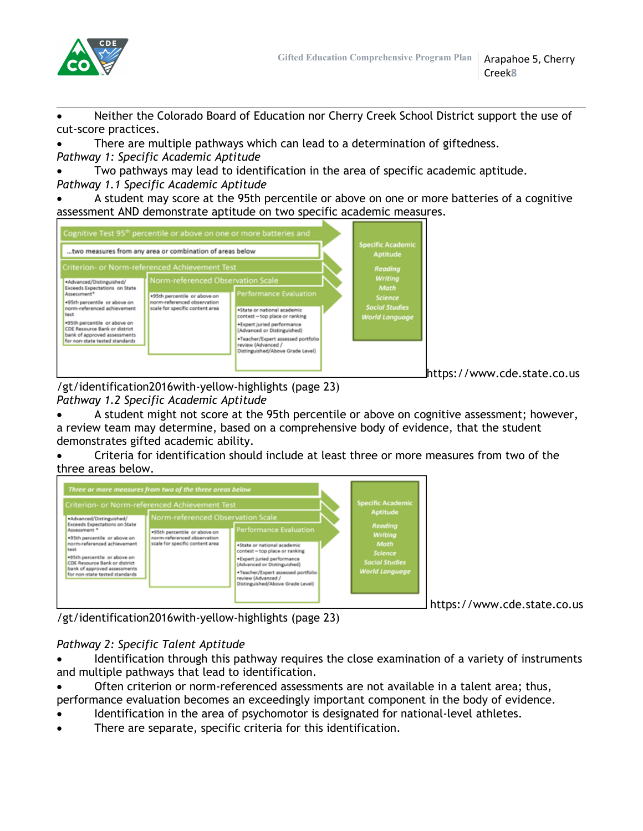

 Neither the Colorado Board of Education nor Cherry Creek School District support the use of cut-score practices.

 There are multiple pathways which can lead to a determination of giftedness. *Pathway 1: Specific Academic Aptitude*

 Two pathways may lead to identification in the area of specific academic aptitude. *Pathway 1.1 Specific Academic Aptitude*

 A student may score at the 95th percentile or above on one or more batteries of a cognitive assessment AND demonstrate aptitude on two specific academic measures.



https://www.cde.state.co.us

/gt/identification2016with-yellow-highlights (page 23) *Pathway 1.2 Specific Academic Aptitude*

A student might not score at the 95th percentile or above on cognitive assessment; however,

a review team may determine, based on a comprehensive body of evidence, that the student demonstrates gifted academic ability.

 Criteria for identification should include at least three or more measures from two of the three areas below.



https://www.cde.state.co.us

/gt/identification2016with-yellow-highlights (page 23)

# *Pathway 2: Specific Talent Aptitude*

 Identification through this pathway requires the close examination of a variety of instruments and multiple pathways that lead to identification.

- Often criterion or norm-referenced assessments are not available in a talent area; thus, performance evaluation becomes an exceedingly important component in the body of evidence.
- Identification in the area of psychomotor is designated for national-level athletes.
- There are separate, specific criteria for this identification.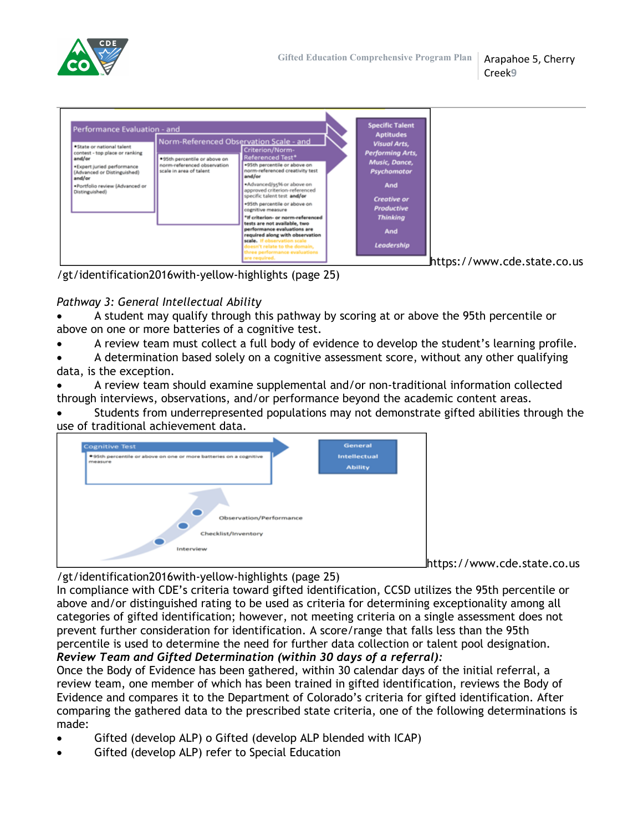

| Performance Evaluation - and<br>Norm-Referenced Observation Scale - and<br>*State or national talent<br>Criterion/Norm-<br>contest - top place or ranking<br>Referenced Test*<br>*95th percentile or above on<br>and/or<br>+95th percentile or above on<br>norm-referenced observation<br>*Expert juried performance<br>norm-referenced creativity test<br>scale in area of talent<br>(Advanced or Distinguished)<br>and/or<br>and/or<br>. Advanced/95% or above on<br>.Portfolio review (Advanced or<br>approved criterion-referenced<br>Distinguished)<br>specific talent test and/or<br>+95th percentile or above on<br>cognitive measure<br>*If criterion- or norm-referenced<br>tests are not available, two<br>performance evaluations are<br>required along with observation<br>scale. If observation scale<br>doesn't relate to the domain,<br>three performance evaluations | <b>Specific Talent</b><br><b>Aptitudes</b><br><b>Visual Arts,</b><br><b>Performing Arts,</b><br>Music, Dance,<br>Psychomotor<br><b>And</b><br><b>Creative or</b><br><b>Productive</b><br><b>Thinking</b><br>And<br>Leadership |
|--------------------------------------------------------------------------------------------------------------------------------------------------------------------------------------------------------------------------------------------------------------------------------------------------------------------------------------------------------------------------------------------------------------------------------------------------------------------------------------------------------------------------------------------------------------------------------------------------------------------------------------------------------------------------------------------------------------------------------------------------------------------------------------------------------------------------------------------------------------------------------------|-------------------------------------------------------------------------------------------------------------------------------------------------------------------------------------------------------------------------------|
|--------------------------------------------------------------------------------------------------------------------------------------------------------------------------------------------------------------------------------------------------------------------------------------------------------------------------------------------------------------------------------------------------------------------------------------------------------------------------------------------------------------------------------------------------------------------------------------------------------------------------------------------------------------------------------------------------------------------------------------------------------------------------------------------------------------------------------------------------------------------------------------|-------------------------------------------------------------------------------------------------------------------------------------------------------------------------------------------------------------------------------|

/gt/identification2016with-yellow-highlights (page 25)

# *Pathway 3: General Intellectual Ability*

 A student may qualify through this pathway by scoring at or above the 95th percentile or above on one or more batteries of a cognitive test.

- A review team must collect a full body of evidence to develop the student's learning profile.
- A determination based solely on a cognitive assessment score, without any other qualifying data, is the exception.

 A review team should examine supplemental and/or non-traditional information collected through interviews, observations, and/or performance beyond the academic content areas.

 Students from underrepresented populations may not demonstrate gifted abilities through the use of traditional achievement data.



https://www.cde.state.co.us

/gt/identification2016with-yellow-highlights (page 25)

In compliance with CDE's criteria toward gifted identification, CCSD utilizes the 95th percentile or above and/or distinguished rating to be used as criteria for determining exceptionality among all categories of gifted identification; however, not meeting criteria on a single assessment does not prevent further consideration for identification. A score/range that falls less than the 95th percentile is used to determine the need for further data collection or talent pool designation. *Review Team and Gifted Determination (within 30 days of a referral):*

Once the Body of Evidence has been gathered, within 30 calendar days of the initial referral, a review team, one member of which has been trained in gifted identification, reviews the Body of Evidence and compares it to the Department of Colorado's criteria for gifted identification. After comparing the gathered data to the prescribed state criteria, one of the following determinations is made:

- Gifted (develop ALP) o Gifted (develop ALP blended with ICAP)
- Gifted (develop ALP) refer to Special Education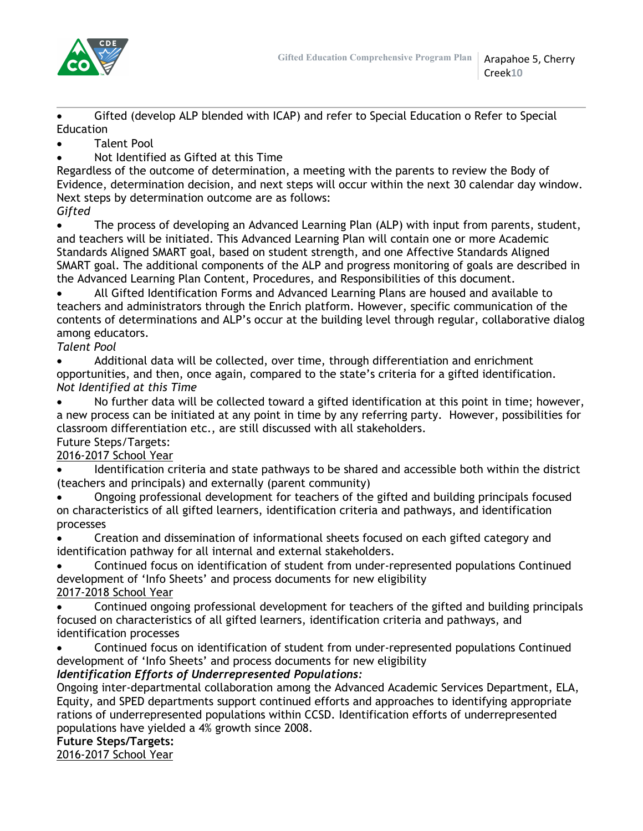

 Gifted (develop ALP blended with ICAP) and refer to Special Education o Refer to Special Education

Talent Pool

Not Identified as Gifted at this Time

Regardless of the outcome of determination, a meeting with the parents to review the Body of Evidence, determination decision, and next steps will occur within the next 30 calendar day window. Next steps by determination outcome are as follows:

*Gifted*

 The process of developing an Advanced Learning Plan (ALP) with input from parents, student, and teachers will be initiated. This Advanced Learning Plan will contain one or more Academic Standards Aligned SMART goal, based on student strength, and one Affective Standards Aligned SMART goal. The additional components of the ALP and progress monitoring of goals are described in the Advanced Learning Plan Content, Procedures, and Responsibilities of this document.

 All Gifted Identification Forms and Advanced Learning Plans are housed and available to teachers and administrators through the Enrich platform. However, specific communication of the contents of determinations and ALP's occur at the building level through regular, collaborative dialog among educators.

*Talent Pool*

 Additional data will be collected, over time, through differentiation and enrichment opportunities, and then, once again, compared to the state's criteria for a gifted identification. *Not Identified at this Time*

 No further data will be collected toward a gifted identification at this point in time; however, a new process can be initiated at any point in time by any referring party. However, possibilities for classroom differentiation etc., are still discussed with all stakeholders.

# Future Steps/Targets:

2016-2017 School Year

 Identification criteria and state pathways to be shared and accessible both within the district (teachers and principals) and externally (parent community)

 Ongoing professional development for teachers of the gifted and building principals focused on characteristics of all gifted learners, identification criteria and pathways, and identification processes

 Creation and dissemination of informational sheets focused on each gifted category and identification pathway for all internal and external stakeholders.

 Continued focus on identification of student from under-represented populations Continued development of 'Info Sheets' and process documents for new eligibility 2017-2018 School Year

 Continued ongoing professional development for teachers of the gifted and building principals focused on characteristics of all gifted learners, identification criteria and pathways, and identification processes

 Continued focus on identification of student from under-represented populations Continued development of 'Info Sheets' and process documents for new eligibility

# *Identification Efforts of Underrepresented Populations:*

Ongoing inter-departmental collaboration among the Advanced Academic Services Department, ELA, Equity, and SPED departments support continued efforts and approaches to identifying appropriate rations of underrepresented populations within CCSD. Identification efforts of underrepresented populations have yielded a 4% growth since 2008.

# **Future Steps/Targets:**

2016-2017 School Year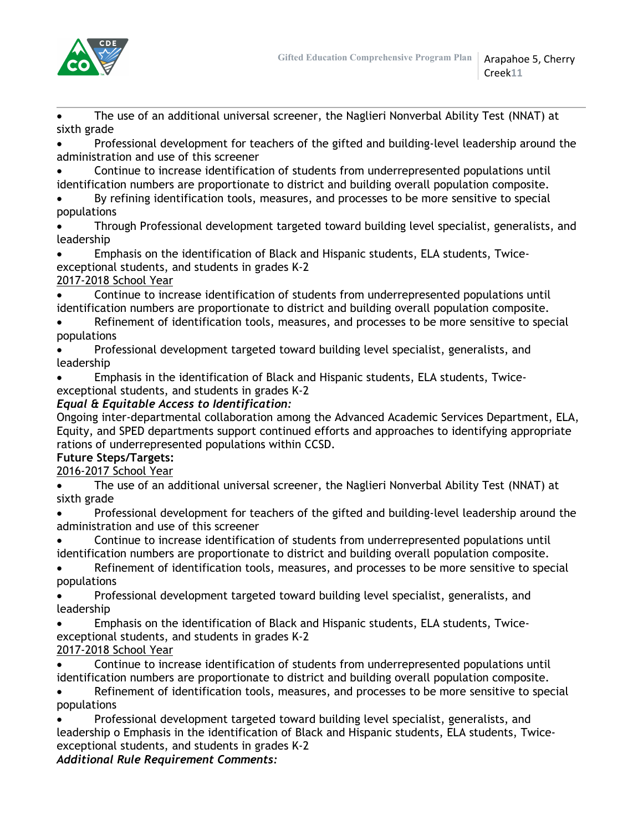

 The use of an additional universal screener, the Naglieri Nonverbal Ability Test (NNAT) at sixth grade

 Professional development for teachers of the gifted and building-level leadership around the administration and use of this screener

- Continue to increase identification of students from underrepresented populations until identification numbers are proportionate to district and building overall population composite.
- By refining identification tools, measures, and processes to be more sensitive to special populations
- Through Professional development targeted toward building level specialist, generalists, and leadership
- Emphasis on the identification of Black and Hispanic students, ELA students, Twiceexceptional students, and students in grades K-2

# 2017-2018 School Year

 Continue to increase identification of students from underrepresented populations until identification numbers are proportionate to district and building overall population composite.

- Refinement of identification tools, measures, and processes to be more sensitive to special populations
- Professional development targeted toward building level specialist, generalists, and leadership
- Emphasis in the identification of Black and Hispanic students, ELA students, Twiceexceptional students, and students in grades K-2

# *Equal & Equitable Access to Identification:*

Ongoing inter-departmental collaboration among the Advanced Academic Services Department, ELA, Equity, and SPED departments support continued efforts and approaches to identifying appropriate rations of underrepresented populations within CCSD.

# **Future Steps/Targets:**

2016-2017 School Year

- The use of an additional universal screener, the Naglieri Nonverbal Ability Test (NNAT) at sixth grade
- Professional development for teachers of the gifted and building-level leadership around the administration and use of this screener
- Continue to increase identification of students from underrepresented populations until identification numbers are proportionate to district and building overall population composite.
- Refinement of identification tools, measures, and processes to be more sensitive to special populations
- Professional development targeted toward building level specialist, generalists, and leadership
- Emphasis on the identification of Black and Hispanic students, ELA students, Twiceexceptional students, and students in grades K-2

# 2017-2018 School Year

- Continue to increase identification of students from underrepresented populations until identification numbers are proportionate to district and building overall population composite.
- Refinement of identification tools, measures, and processes to be more sensitive to special populations
- Professional development targeted toward building level specialist, generalists, and leadership o Emphasis in the identification of Black and Hispanic students, ELA students, Twiceexceptional students, and students in grades K-2

# *Additional Rule Requirement Comments:*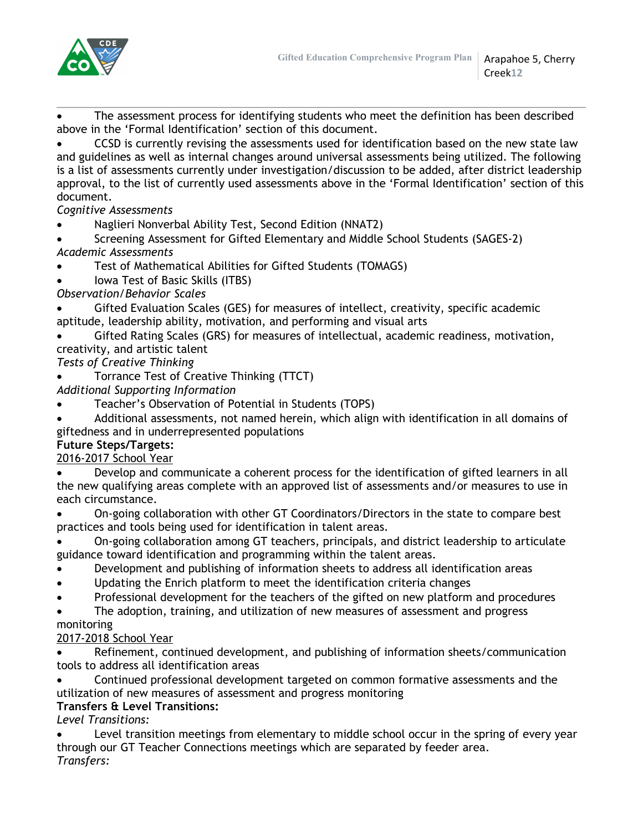

 The assessment process for identifying students who meet the definition has been described above in the 'Formal Identification' section of this document.

 CCSD is currently revising the assessments used for identification based on the new state law and guidelines as well as internal changes around universal assessments being utilized. The following is a list of assessments currently under investigation/discussion to be added, after district leadership approval, to the list of currently used assessments above in the 'Formal Identification' section of this document.

*Cognitive Assessments*

Naglieri Nonverbal Ability Test, Second Edition (NNAT2)

 Screening Assessment for Gifted Elementary and Middle School Students (SAGES-2) *Academic Assessments*

Test of Mathematical Abilities for Gifted Students (TOMAGS)

Iowa Test of Basic Skills (ITBS)

*Observation/Behavior Scales*

 Gifted Evaluation Scales (GES) for measures of intellect, creativity, specific academic aptitude, leadership ability, motivation, and performing and visual arts

 Gifted Rating Scales (GRS) for measures of intellectual, academic readiness, motivation, creativity, and artistic talent

*Tests of Creative Thinking*

Torrance Test of Creative Thinking (TTCT)

*Additional Supporting Information*

Teacher's Observation of Potential in Students (TOPS)

 Additional assessments, not named herein, which align with identification in all domains of giftedness and in underrepresented populations

# **Future Steps/Targets:**

2016-2017 School Year

 Develop and communicate a coherent process for the identification of gifted learners in all the new qualifying areas complete with an approved list of assessments and/or measures to use in each circumstance.

 On-going collaboration with other GT Coordinators/Directors in the state to compare best practices and tools being used for identification in talent areas.

 On-going collaboration among GT teachers, principals, and district leadership to articulate guidance toward identification and programming within the talent areas.

- Development and publishing of information sheets to address all identification areas
- Updating the Enrich platform to meet the identification criteria changes
- Professional development for the teachers of the gifted on new platform and procedures

The adoption, training, and utilization of new measures of assessment and progress

## monitoring

## 2017-2018 School Year

 Refinement, continued development, and publishing of information sheets/communication tools to address all identification areas

 Continued professional development targeted on common formative assessments and the utilization of new measures of assessment and progress monitoring

## **Transfers & Level Transitions:**

*Level Transitions:*

 Level transition meetings from elementary to middle school occur in the spring of every year through our GT Teacher Connections meetings which are separated by feeder area. *Transfers:*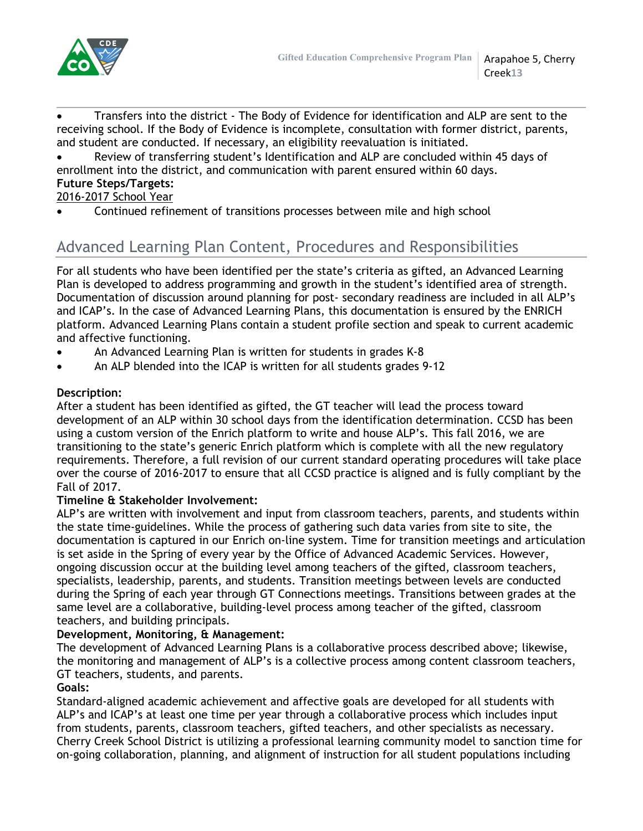

 Transfers into the district - The Body of Evidence for identification and ALP are sent to the receiving school. If the Body of Evidence is incomplete, consultation with former district, parents, and student are conducted. If necessary, an eligibility reevaluation is initiated.

 Review of transferring student's Identification and ALP are concluded within 45 days of enrollment into the district, and communication with parent ensured within 60 days. **Future Steps/Targets:**

## 2016-2017 School Year

Continued refinement of transitions processes between mile and high school

# Advanced Learning Plan Content, Procedures and Responsibilities

For all students who have been identified per the state's criteria as gifted, an Advanced Learning Plan is developed to address programming and growth in the student's identified area of strength. Documentation of discussion around planning for post- secondary readiness are included in all ALP's and ICAP's. In the case of Advanced Learning Plans, this documentation is ensured by the ENRICH platform. Advanced Learning Plans contain a student profile section and speak to current academic and affective functioning.

- An Advanced Learning Plan is written for students in grades K-8
- An ALP blended into the ICAP is written for all students grades 9-12

## **Description:**

After a student has been identified as gifted, the GT teacher will lead the process toward development of an ALP within 30 school days from the identification determination. CCSD has been using a custom version of the Enrich platform to write and house ALP's. This fall 2016, we are transitioning to the state's generic Enrich platform which is complete with all the new regulatory requirements. Therefore, a full revision of our current standard operating procedures will take place over the course of 2016-2017 to ensure that all CCSD practice is aligned and is fully compliant by the Fall of 2017.

## **Timeline & Stakeholder Involvement:**

ALP's are written with involvement and input from classroom teachers, parents, and students within the state time-guidelines. While the process of gathering such data varies from site to site, the documentation is captured in our Enrich on-line system. Time for transition meetings and articulation is set aside in the Spring of every year by the Office of Advanced Academic Services. However, ongoing discussion occur at the building level among teachers of the gifted, classroom teachers, specialists, leadership, parents, and students. Transition meetings between levels are conducted during the Spring of each year through GT Connections meetings. Transitions between grades at the same level are a collaborative, building-level process among teacher of the gifted, classroom teachers, and building principals.

#### **Development, Monitoring, & Management:**

The development of Advanced Learning Plans is a collaborative process described above; likewise, the monitoring and management of ALP's is a collective process among content classroom teachers, GT teachers, students, and parents.

## **Goals:**

Standard-aligned academic achievement and affective goals are developed for all students with ALP's and ICAP's at least one time per year through a collaborative process which includes input from students, parents, classroom teachers, gifted teachers, and other specialists as necessary. Cherry Creek School District is utilizing a professional learning community model to sanction time for on-going collaboration, planning, and alignment of instruction for all student populations including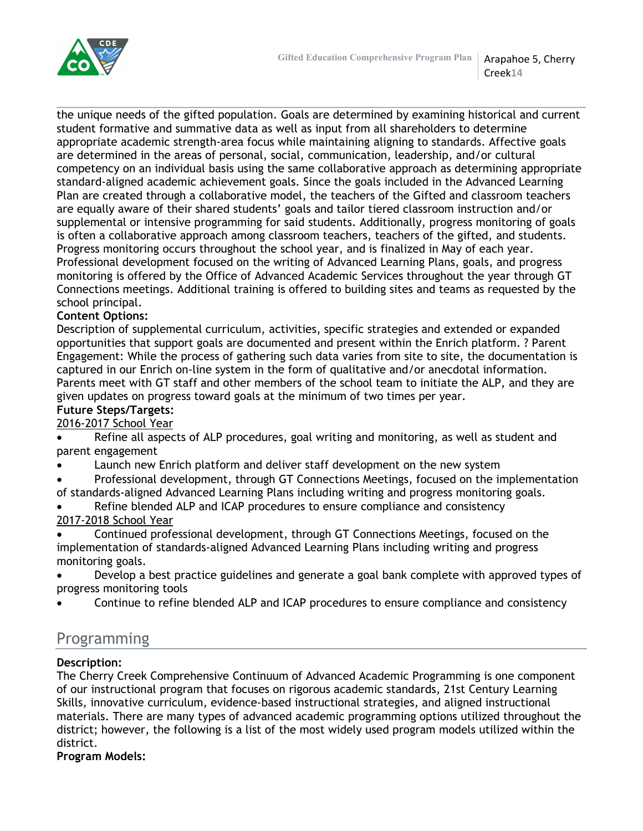

Creek**14**

the unique needs of the gifted population. Goals are determined by examining historical and current student formative and summative data as well as input from all shareholders to determine appropriate academic strength-area focus while maintaining aligning to standards. Affective goals are determined in the areas of personal, social, communication, leadership, and/or cultural competency on an individual basis using the same collaborative approach as determining appropriate standard-aligned academic achievement goals. Since the goals included in the Advanced Learning Plan are created through a collaborative model, the teachers of the Gifted and classroom teachers are equally aware of their shared students' goals and tailor tiered classroom instruction and/or supplemental or intensive programming for said students. Additionally, progress monitoring of goals is often a collaborative approach among classroom teachers, teachers of the gifted, and students. Progress monitoring occurs throughout the school year, and is finalized in May of each year. Professional development focused on the writing of Advanced Learning Plans, goals, and progress monitoring is offered by the Office of Advanced Academic Services throughout the year through GT Connections meetings. Additional training is offered to building sites and teams as requested by the school principal.

# **Content Options:**

Description of supplemental curriculum, activities, specific strategies and extended or expanded opportunities that support goals are documented and present within the Enrich platform. ? Parent Engagement: While the process of gathering such data varies from site to site, the documentation is captured in our Enrich on-line system in the form of qualitative and/or anecdotal information. Parents meet with GT staff and other members of the school team to initiate the ALP, and they are given updates on progress toward goals at the minimum of two times per year.

## **Future Steps/Targets:**

2016-2017 School Year

 Refine all aspects of ALP procedures, goal writing and monitoring, as well as student and parent engagement

- Launch new Enrich platform and deliver staff development on the new system
- Professional development, through GT Connections Meetings, focused on the implementation of standards-aligned Advanced Learning Plans including writing and progress monitoring goals.
- Refine blended ALP and ICAP procedures to ensure compliance and consistency 2017-2018 School Year
- Continued professional development, through GT Connections Meetings, focused on the implementation of standards-aligned Advanced Learning Plans including writing and progress monitoring goals.
- Develop a best practice guidelines and generate a goal bank complete with approved types of progress monitoring tools
- Continue to refine blended ALP and ICAP procedures to ensure compliance and consistency

# Programming

## **Description:**

The Cherry Creek Comprehensive Continuum of Advanced Academic Programming is one component of our instructional program that focuses on rigorous academic standards, 21st Century Learning Skills, innovative curriculum, evidence-based instructional strategies, and aligned instructional materials. There are many types of advanced academic programming options utilized throughout the district; however, the following is a list of the most widely used program models utilized within the district.

**Program Models:**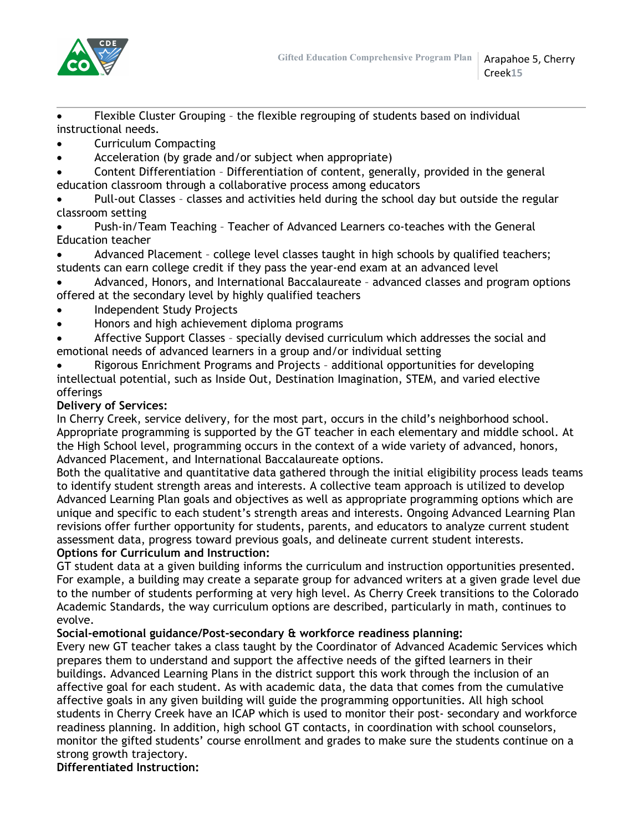

 Flexible Cluster Grouping – the flexible regrouping of students based on individual instructional needs.

- Curriculum Compacting
- Acceleration (by grade and/or subject when appropriate)
- Content Differentiation Differentiation of content, generally, provided in the general education classroom through a collaborative process among educators

 Pull-out Classes – classes and activities held during the school day but outside the regular classroom setting

- Push-in/Team Teaching Teacher of Advanced Learners co-teaches with the General Education teacher
- Advanced Placement college level classes taught in high schools by qualified teachers; students can earn college credit if they pass the year-end exam at an advanced level
- Advanced, Honors, and International Baccalaureate advanced classes and program options offered at the secondary level by highly qualified teachers
- Independent Study Projects
- Honors and high achievement diploma programs

 Affective Support Classes – specially devised curriculum which addresses the social and emotional needs of advanced learners in a group and/or individual setting

 Rigorous Enrichment Programs and Projects – additional opportunities for developing intellectual potential, such as Inside Out, Destination Imagination, STEM, and varied elective offerings

# **Delivery of Services:**

In Cherry Creek, service delivery, for the most part, occurs in the child's neighborhood school. Appropriate programming is supported by the GT teacher in each elementary and middle school. At the High School level, programming occurs in the context of a wide variety of advanced, honors, Advanced Placement, and International Baccalaureate options.

Both the qualitative and quantitative data gathered through the initial eligibility process leads teams to identify student strength areas and interests. A collective team approach is utilized to develop Advanced Learning Plan goals and objectives as well as appropriate programming options which are unique and specific to each student's strength areas and interests. Ongoing Advanced Learning Plan revisions offer further opportunity for students, parents, and educators to analyze current student assessment data, progress toward previous goals, and delineate current student interests. **Options for Curriculum and Instruction:**

GT student data at a given building informs the curriculum and instruction opportunities presented. For example, a building may create a separate group for advanced writers at a given grade level due to the number of students performing at very high level. As Cherry Creek transitions to the Colorado Academic Standards, the way curriculum options are described, particularly in math, continues to evolve.

## **Social-emotional guidance/Post-secondary & workforce readiness planning:**

Every new GT teacher takes a class taught by the Coordinator of Advanced Academic Services which prepares them to understand and support the affective needs of the gifted learners in their buildings. Advanced Learning Plans in the district support this work through the inclusion of an affective goal for each student. As with academic data, the data that comes from the cumulative affective goals in any given building will guide the programming opportunities. All high school students in Cherry Creek have an ICAP which is used to monitor their post- secondary and workforce readiness planning. In addition, high school GT contacts, in coordination with school counselors, monitor the gifted students' course enrollment and grades to make sure the students continue on a strong growth trajectory.

**Differentiated Instruction:**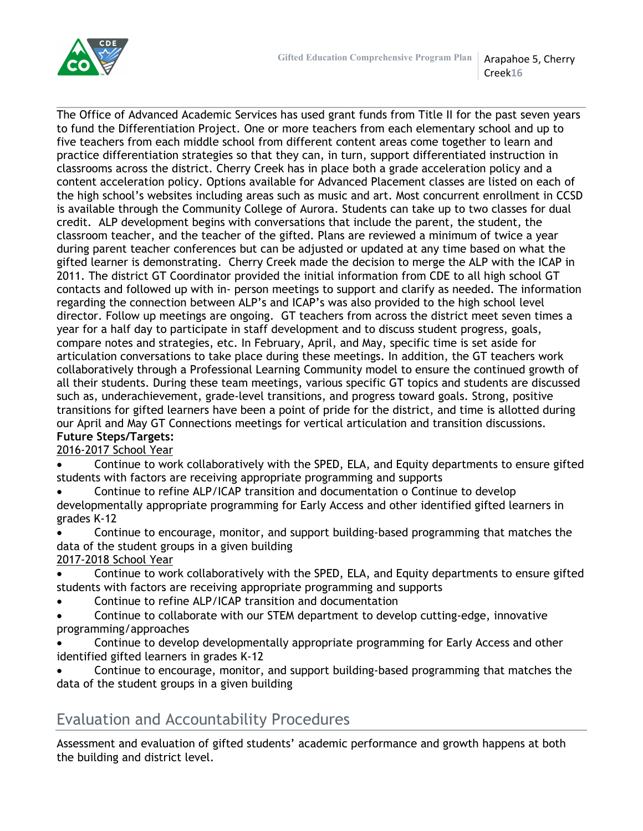

Creek**16**

The Office of Advanced Academic Services has used grant funds from Title II for the past seven years to fund the Differentiation Project. One or more teachers from each elementary school and up to five teachers from each middle school from different content areas come together to learn and practice differentiation strategies so that they can, in turn, support differentiated instruction in classrooms across the district. Cherry Creek has in place both a grade acceleration policy and a content acceleration policy. Options available for Advanced Placement classes are listed on each of the high school's websites including areas such as music and art. Most concurrent enrollment in CCSD is available through the Community College of Aurora. Students can take up to two classes for dual credit. ALP development begins with conversations that include the parent, the student, the classroom teacher, and the teacher of the gifted. Plans are reviewed a minimum of twice a year during parent teacher conferences but can be adjusted or updated at any time based on what the gifted learner is demonstrating. Cherry Creek made the decision to merge the ALP with the ICAP in 2011. The district GT Coordinator provided the initial information from CDE to all high school GT contacts and followed up with in- person meetings to support and clarify as needed. The information regarding the connection between ALP's and ICAP's was also provided to the high school level director. Follow up meetings are ongoing. GT teachers from across the district meet seven times a year for a half day to participate in staff development and to discuss student progress, goals, compare notes and strategies, etc. In February, April, and May, specific time is set aside for articulation conversations to take place during these meetings. In addition, the GT teachers work collaboratively through a Professional Learning Community model to ensure the continued growth of all their students. During these team meetings, various specific GT topics and students are discussed such as, underachievement, grade-level transitions, and progress toward goals. Strong, positive transitions for gifted learners have been a point of pride for the district, and time is allotted during our April and May GT Connections meetings for vertical articulation and transition discussions. **Future Steps/Targets:**

2016-2017 School Year

 Continue to work collaboratively with the SPED, ELA, and Equity departments to ensure gifted students with factors are receiving appropriate programming and supports

 Continue to refine ALP/ICAP transition and documentation o Continue to develop developmentally appropriate programming for Early Access and other identified gifted learners in grades K-12

 Continue to encourage, monitor, and support building-based programming that matches the data of the student groups in a given building

2017-2018 School Year

 Continue to work collaboratively with the SPED, ELA, and Equity departments to ensure gifted students with factors are receiving appropriate programming and supports

Continue to refine ALP/ICAP transition and documentation

 Continue to collaborate with our STEM department to develop cutting-edge, innovative programming/approaches

- Continue to develop developmentally appropriate programming for Early Access and other identified gifted learners in grades K-12
- Continue to encourage, monitor, and support building-based programming that matches the data of the student groups in a given building

# Evaluation and Accountability Procedures

Assessment and evaluation of gifted students' academic performance and growth happens at both the building and district level.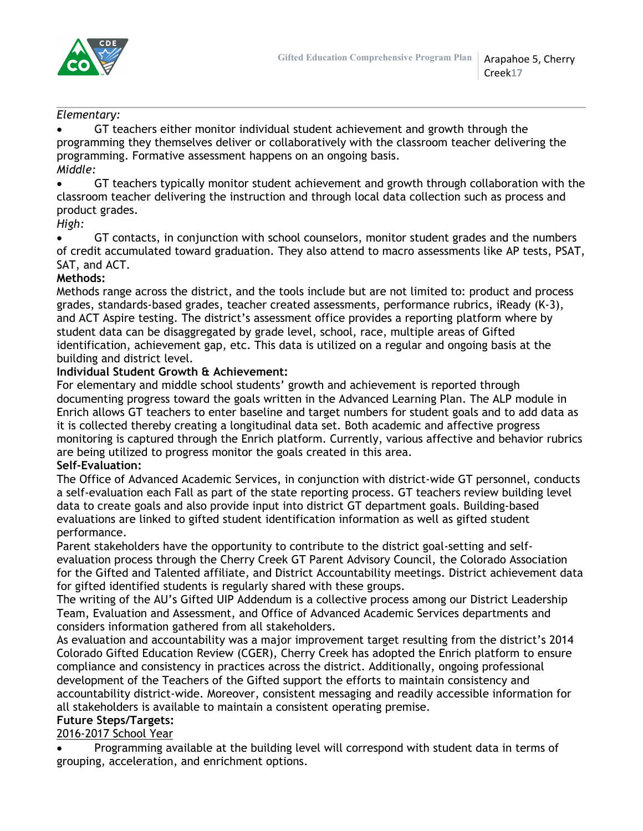

## *Elementary:*

 GT teachers either monitor individual student achievement and growth through the programming they themselves deliver or collaboratively with the classroom teacher delivering the programming. Formative assessment happens on an ongoing basis. *Middle:*

 GT teachers typically monitor student achievement and growth through collaboration with the classroom teacher delivering the instruction and through local data collection such as process and product grades.

#### *High:*

 GT contacts, in conjunction with school counselors, monitor student grades and the numbers of credit accumulated toward graduation. They also attend to macro assessments like AP tests, PSAT, SAT, and ACT.

## **Methods:**

Methods range across the district, and the tools include but are not limited to: product and process grades, standards-based grades, teacher created assessments, performance rubrics, iReady (K-3), and ACT Aspire testing. The district's assessment office provides a reporting platform where by student data can be disaggregated by grade level, school, race, multiple areas of Gifted identification, achievement gap, etc. This data is utilized on a regular and ongoing basis at the building and district level.

#### **Individual Student Growth & Achievement:**

For elementary and middle school students' growth and achievement is reported through documenting progress toward the goals written in the Advanced Learning Plan. The ALP module in Enrich allows GT teachers to enter baseline and target numbers for student goals and to add data as it is collected thereby creating a longitudinal data set. Both academic and affective progress monitoring is captured through the Enrich platform. Currently, various affective and behavior rubrics are being utilized to progress monitor the goals created in this area.

## **Self-Evaluation:**

The Office of Advanced Academic Services, in conjunction with district-wide GT personnel, conducts a self-evaluation each Fall as part of the state reporting process. GT teachers review building level data to create goals and also provide input into district GT department goals. Building-based evaluations are linked to gifted student identification information as well as gifted student performance.

Parent stakeholders have the opportunity to contribute to the district goal-setting and selfevaluation process through the Cherry Creek GT Parent Advisory Council, the Colorado Association for the Gifted and Talented affiliate, and District Accountability meetings. District achievement data for gifted identified students is regularly shared with these groups.

The writing of the AU's Gifted UIP Addendum is a collective process among our District Leadership Team, Evaluation and Assessment, and Office of Advanced Academic Services departments and considers information gathered from all stakeholders.

As evaluation and accountability was a major improvement target resulting from the district's 2014 Colorado Gifted Education Review (CGER), Cherry Creek has adopted the Enrich platform to ensure compliance and consistency in practices across the district. Additionally, ongoing professional development of the Teachers of the Gifted support the efforts to maintain consistency and accountability district-wide. Moreover, consistent messaging and readily accessible information for all stakeholders is available to maintain a consistent operating premise.

## **Future Steps/Targets:**

## 2016-2017 School Year

 Programming available at the building level will correspond with student data in terms of grouping, acceleration, and enrichment options.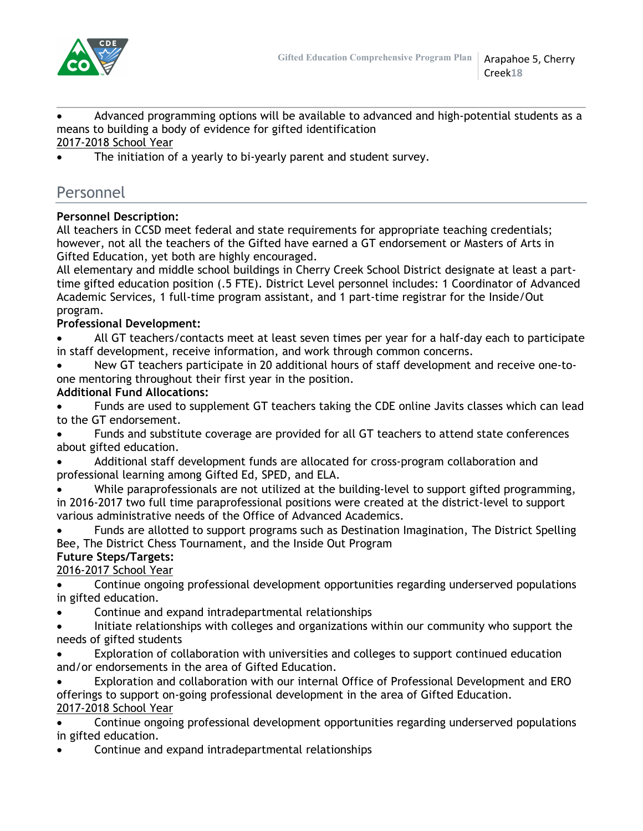

 Advanced programming options will be available to advanced and high-potential students as a means to building a body of evidence for gifted identification 2017-2018 School Year

The initiation of a yearly to bi-yearly parent and student survey.

# Personnel

## **Personnel Description:**

All teachers in CCSD meet federal and state requirements for appropriate teaching credentials; however, not all the teachers of the Gifted have earned a GT endorsement or Masters of Arts in Gifted Education, yet both are highly encouraged.

All elementary and middle school buildings in Cherry Creek School District designate at least a parttime gifted education position (.5 FTE). District Level personnel includes: 1 Coordinator of Advanced Academic Services, 1 full-time program assistant, and 1 part-time registrar for the Inside/Out program.

## **Professional Development:**

- All GT teachers/contacts meet at least seven times per year for a half-day each to participate in staff development, receive information, and work through common concerns.
- New GT teachers participate in 20 additional hours of staff development and receive one-toone mentoring throughout their first year in the position.

# **Additional Fund Allocations:**

- Funds are used to supplement GT teachers taking the CDE online Javits classes which can lead to the GT endorsement.
- Funds and substitute coverage are provided for all GT teachers to attend state conferences about gifted education.
- Additional staff development funds are allocated for cross-program collaboration and professional learning among Gifted Ed, SPED, and ELA.
- While paraprofessionals are not utilized at the building-level to support gifted programming, in 2016-2017 two full time paraprofessional positions were created at the district-level to support various administrative needs of the Office of Advanced Academics.
- Funds are allotted to support programs such as Destination Imagination, The District Spelling Bee, The District Chess Tournament, and the Inside Out Program

#### **Future Steps/Targets:** 2016-2017 School Year

- Continue ongoing professional development opportunities regarding underserved populations in gifted education.
- Continue and expand intradepartmental relationships
- Initiate relationships with colleges and organizations within our community who support the needs of gifted students
- Exploration of collaboration with universities and colleges to support continued education and/or endorsements in the area of Gifted Education.
- Exploration and collaboration with our internal Office of Professional Development and ERO offerings to support on-going professional development in the area of Gifted Education. 2017-2018 School Year
- Continue ongoing professional development opportunities regarding underserved populations in gifted education.
- Continue and expand intradepartmental relationships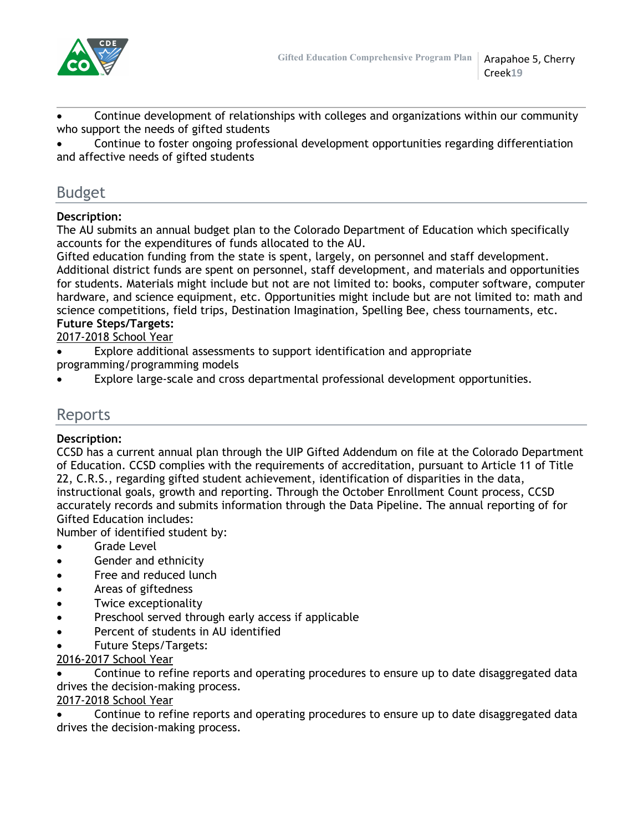

 Continue development of relationships with colleges and organizations within our community who support the needs of gifted students

 Continue to foster ongoing professional development opportunities regarding differentiation and affective needs of gifted students

# Budget

# **Description:**

The AU submits an annual budget plan to the Colorado Department of Education which specifically accounts for the expenditures of funds allocated to the AU.

Gifted education funding from the state is spent, largely, on personnel and staff development. Additional district funds are spent on personnel, staff development, and materials and opportunities for students. Materials might include but not are not limited to: books, computer software, computer hardware, and science equipment, etc. Opportunities might include but are not limited to: math and science competitions, field trips, Destination Imagination, Spelling Bee, chess tournaments, etc.

## **Future Steps/Targets:**

2017-2018 School Year

- Explore additional assessments to support identification and appropriate programming/programming models
- Explore large-scale and cross departmental professional development opportunities.

# Reports

## **Description:**

CCSD has a current annual plan through the UIP Gifted Addendum on file at the Colorado Department of Education. CCSD complies with the requirements of accreditation, pursuant to Article 11 of Title 22, C.R.S., regarding gifted student achievement, identification of disparities in the data, instructional goals, growth and reporting. Through the October Enrollment Count process, CCSD accurately records and submits information through the Data Pipeline. The annual reporting of for Gifted Education includes:

Number of identified student by:

- Grade Level
- Gender and ethnicity
- Free and reduced lunch
- Areas of giftedness
- Twice exceptionality
- Preschool served through early access if applicable
- Percent of students in AU identified
- Future Steps/Targets:

## 2016-2017 School Year

 Continue to refine reports and operating procedures to ensure up to date disaggregated data drives the decision-making process.

# 2017-2018 School Year

 Continue to refine reports and operating procedures to ensure up to date disaggregated data drives the decision-making process.